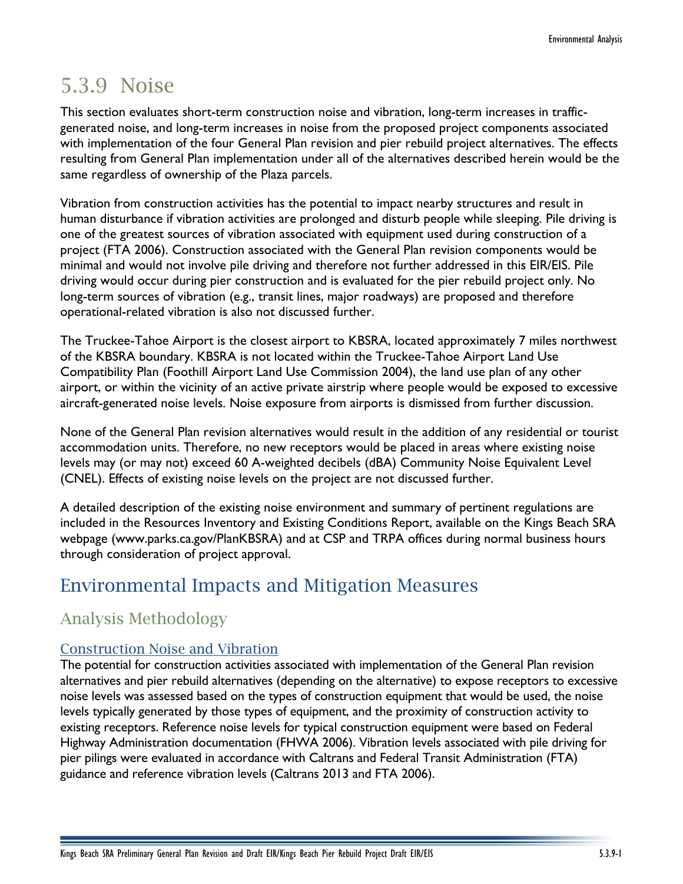# 5.3.9 Noise

This section evaluates short-term construction noise and vibration, long-term increases in trafficgenerated noise, and long-term increases in noise from the proposed project components associated with implementation of the four General Plan revision and pier rebuild project alternatives. The effects resulting from General Plan implementation under all of the alternatives described herein would be the same regardless of ownership of the Plaza parcels.

Vibration from construction activities has the potential to impact nearby structures and result in human disturbance if vibration activities are prolonged and disturb people while sleeping. Pile driving is one of the greatest sources of vibration associated with equipment used during construction of a project (FTA 2006). Construction associated with the General Plan revision components would be minimal and would not involve pile driving and therefore not further addressed in this EIR/EIS. Pile driving would occur during pier construction and is evaluated for the pier rebuild project only. No long-term sources of vibration (e.g., transit lines, major roadways) are proposed and therefore operational-related vibration is also not discussed further.

The Truckee-Tahoe Airport is the closest airport to KBSRA, located approximately 7 miles northwest of the KBSRA boundary. KBSRA is not located within the Truckee-Tahoe Airport Land Use Compatibility Plan (Foothill Airport Land Use Commission 2004), the land use plan of any other airport, or within the vicinity of an active private airstrip where people would be exposed to excessive aircraft-generated noise levels. Noise exposure from airports is dismissed from further discussion.

None of the General Plan revision alternatives would result in the addition of any residential or tourist accommodation units. Therefore, no new receptors would be placed in areas where existing noise levels may (or may not) exceed 60 A-weighted decibels (dBA) Community Noise Equivalent Level (CNEL). Effects of existing noise levels on the project are not discussed further.

A detailed description of the existing noise environment and summary of pertinent regulations are included in the Resources Inventory and Existing Conditions Report, available on the Kings Beach SRA webpage (www.parks.ca.gov/PlanKBSRA) and at CSP and TRPA offices during normal business hours through consideration of project approval.

# Environmental Impacts and Mitigation Measures

## Analysis Methodology

## Construction Noise and Vibration

The potential for construction activities associated with implementation of the General Plan revision alternatives and pier rebuild alternatives (depending on the alternative) to expose receptors to excessive noise levels was assessed based on the types of construction equipment that would be used, the noise levels typically generated by those types of equipment, and the proximity of construction activity to existing receptors. Reference noise levels for typical construction equipment were based on Federal Highway Administration documentation (FHWA 2006). Vibration levels associated with pile driving for pier pilings were evaluated in accordance with Caltrans and Federal Transit Administration (FTA) guidance and reference vibration levels (Caltrans 2013 and FTA 2006).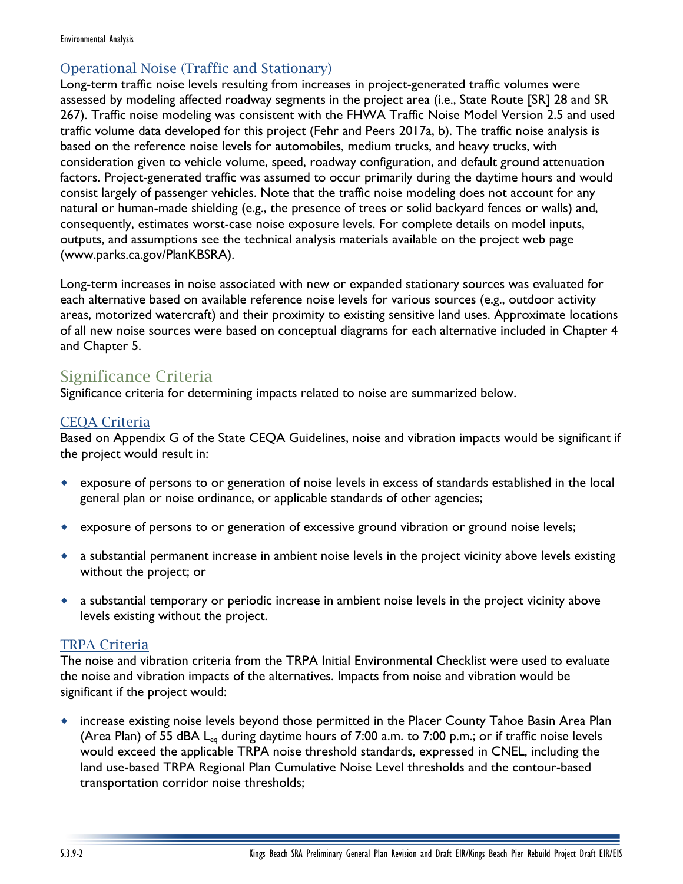#### Environmental Analysis

## Operational Noise (Traffic and Stationary)

Long-term traffic noise levels resulting from increases in project-generated traffic volumes were assessed by modeling affected roadway segments in the project area (i.e., State Route [SR] 28 and SR 267). Traffic noise modeling was consistent with the FHWA Traffic Noise Model Version 2.5 and used traffic volume data developed for this project (Fehr and Peers 2017a, b). The traffic noise analysis is based on the reference noise levels for automobiles, medium trucks, and heavy trucks, with consideration given to vehicle volume, speed, roadway configuration, and default ground attenuation factors. Project-generated traffic was assumed to occur primarily during the daytime hours and would consist largely of passenger vehicles. Note that the traffic noise modeling does not account for any natural or human-made shielding (e.g., the presence of trees or solid backyard fences or walls) and, consequently, estimates worst-case noise exposure levels. For complete details on model inputs, outputs, and assumptions see the technical analysis materials available on the project web page (www.parks.ca.gov/PlanKBSRA).

Long-term increases in noise associated with new or expanded stationary sources was evaluated for each alternative based on available reference noise levels for various sources (e.g., outdoor activity areas, motorized watercraft) and their proximity to existing sensitive land uses. Approximate locations of all new noise sources were based on conceptual diagrams for each alternative included in Chapter 4 and Chapter 5.

## Significance Criteria

Significance criteria for determining impacts related to noise are summarized below.

## CEQA Criteria

Based on Appendix G of the State CEQA Guidelines, noise and vibration impacts would be significant if the project would result in:

- exposure of persons to or generation of noise levels in excess of standards established in the local general plan or noise ordinance, or applicable standards of other agencies;
- exposure of persons to or generation of excessive ground vibration or ground noise levels;
- a substantial permanent increase in ambient noise levels in the project vicinity above levels existing without the project; or
- a substantial temporary or periodic increase in ambient noise levels in the project vicinity above levels existing without the project.

## TRPA Criteria

The noise and vibration criteria from the TRPA Initial Environmental Checklist were used to evaluate the noise and vibration impacts of the alternatives. Impacts from noise and vibration would be significant if the project would:

 increase existing noise levels beyond those permitted in the Placer County Tahoe Basin Area Plan (Area Plan) of 55 dBA L<sub>eq</sub> during daytime hours of 7:00 a.m. to 7:00 p.m.; or if traffic noise levels would exceed the applicable TRPA noise threshold standards, expressed in CNEL, including the land use-based TRPA Regional Plan Cumulative Noise Level thresholds and the contour-based transportation corridor noise thresholds;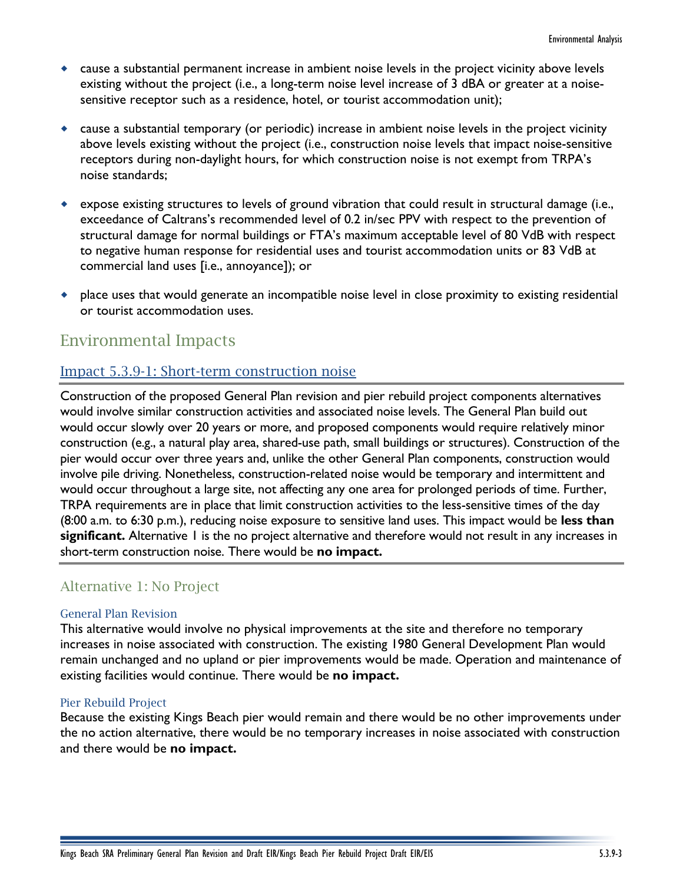- cause a substantial permanent increase in ambient noise levels in the project vicinity above levels existing without the project (i.e., a long-term noise level increase of 3 dBA or greater at a noisesensitive receptor such as a residence, hotel, or tourist accommodation unit);
- cause a substantial temporary (or periodic) increase in ambient noise levels in the project vicinity above levels existing without the project (i.e., construction noise levels that impact noise-sensitive receptors during non-daylight hours, for which construction noise is not exempt from TRPA's noise standards;
- expose existing structures to levels of ground vibration that could result in structural damage (i.e., exceedance of Caltrans's recommended level of 0.2 in/sec PPV with respect to the prevention of structural damage for normal buildings or FTA's maximum acceptable level of 80 VdB with respect to negative human response for residential uses and tourist accommodation units or 83 VdB at commercial land uses [i.e., annoyance]); or
- place uses that would generate an incompatible noise level in close proximity to existing residential or tourist accommodation uses.

## Environmental Impacts

## Impact 5.3.9-1: Short-term construction noise

Construction of the proposed General Plan revision and pier rebuild project components alternatives would involve similar construction activities and associated noise levels. The General Plan build out would occur slowly over 20 years or more, and proposed components would require relatively minor construction (e.g., a natural play area, shared-use path, small buildings or structures). Construction of the pier would occur over three years and, unlike the other General Plan components, construction would involve pile driving. Nonetheless, construction-related noise would be temporary and intermittent and would occur throughout a large site, not affecting any one area for prolonged periods of time. Further, TRPA requirements are in place that limit construction activities to the less-sensitive times of the day (8:00 a.m. to 6:30 p.m.), reducing noise exposure to sensitive land uses. This impact would be **less than**  significant. Alternative 1 is the no project alternative and therefore would not result in any increases in short-term construction noise. There would be **no impact.**

## Alternative 1: No Project

#### General Plan Revision

This alternative would involve no physical improvements at the site and therefore no temporary increases in noise associated with construction. The existing 1980 General Development Plan would remain unchanged and no upland or pier improvements would be made. Operation and maintenance of existing facilities would continue. There would be **no impact.**

#### Pier Rebuild Project

Because the existing Kings Beach pier would remain and there would be no other improvements under the no action alternative, there would be no temporary increases in noise associated with construction and there would be **no impact.**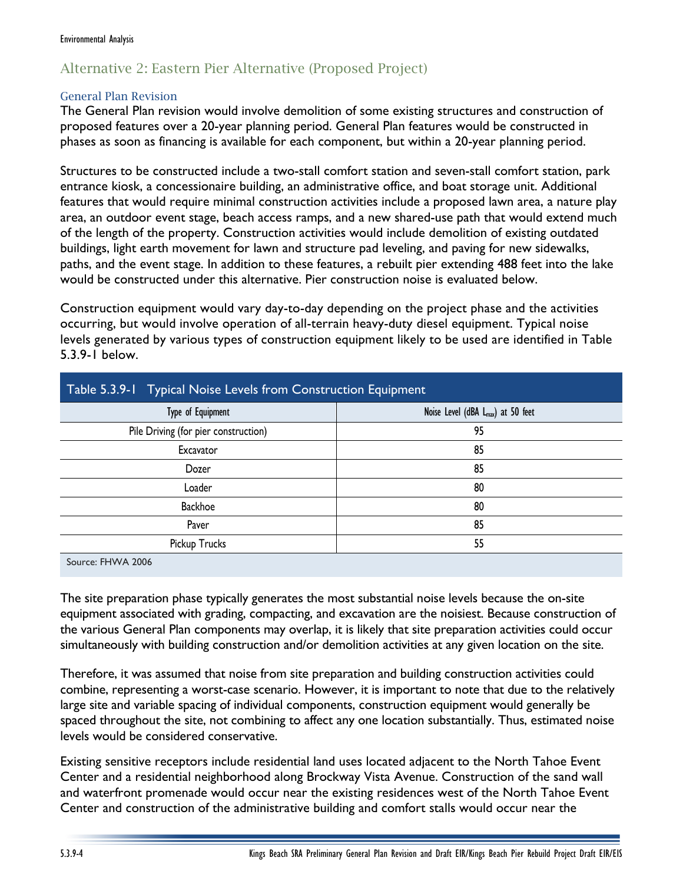## Alternative 2: Eastern Pier Alternative (Proposed Project)

#### General Plan Revision

The General Plan revision would involve demolition of some existing structures and construction of proposed features over a 20-year planning period. General Plan features would be constructed in phases as soon as financing is available for each component, but within a 20-year planning period.

Structures to be constructed include a two-stall comfort station and seven-stall comfort station, park entrance kiosk, a concessionaire building, an administrative office, and boat storage unit. Additional features that would require minimal construction activities include a proposed lawn area, a nature play area, an outdoor event stage, beach access ramps, and a new shared-use path that would extend much of the length of the property. Construction activities would include demolition of existing outdated buildings, light earth movement for lawn and structure pad leveling, and paving for new sidewalks, paths, and the event stage. In addition to these features, a rebuilt pier extending 488 feet into the lake would be constructed under this alternative. Pier construction noise is evaluated below.

Construction equipment would vary day-to-day depending on the project phase and the activities occurring, but would involve operation of all-terrain heavy-duty diesel equipment. Typical noise levels generated by various types of construction equipment likely to be used are identified in Table 5.3.9-1 below.

| Table 5.3.9-1 Typical Noise Levels from Construction Equipment |                                                |  |  |  |
|----------------------------------------------------------------|------------------------------------------------|--|--|--|
| Type of Equipment                                              | Noise Level (dBA L <sub>max</sub> ) at 50 feet |  |  |  |
| Pile Driving (for pier construction)                           | 95                                             |  |  |  |
| Excavator                                                      | 85                                             |  |  |  |
| Dozer                                                          | 85                                             |  |  |  |
| Loader                                                         | 80                                             |  |  |  |
| Backhoe                                                        | 80                                             |  |  |  |
| Paver                                                          | 85                                             |  |  |  |
| Pickup Trucks                                                  | 55                                             |  |  |  |
| Source: FHWA 2006                                              |                                                |  |  |  |

The site preparation phase typically generates the most substantial noise levels because the on-site equipment associated with grading, compacting, and excavation are the noisiest. Because construction of the various General Plan components may overlap, it is likely that site preparation activities could occur simultaneously with building construction and/or demolition activities at any given location on the site.

Therefore, it was assumed that noise from site preparation and building construction activities could combine, representing a worst-case scenario. However, it is important to note that due to the relatively large site and variable spacing of individual components, construction equipment would generally be spaced throughout the site, not combining to affect any one location substantially. Thus, estimated noise levels would be considered conservative.

Existing sensitive receptors include residential land uses located adjacent to the North Tahoe Event Center and a residential neighborhood along Brockway Vista Avenue. Construction of the sand wall and waterfront promenade would occur near the existing residences west of the North Tahoe Event Center and construction of the administrative building and comfort stalls would occur near the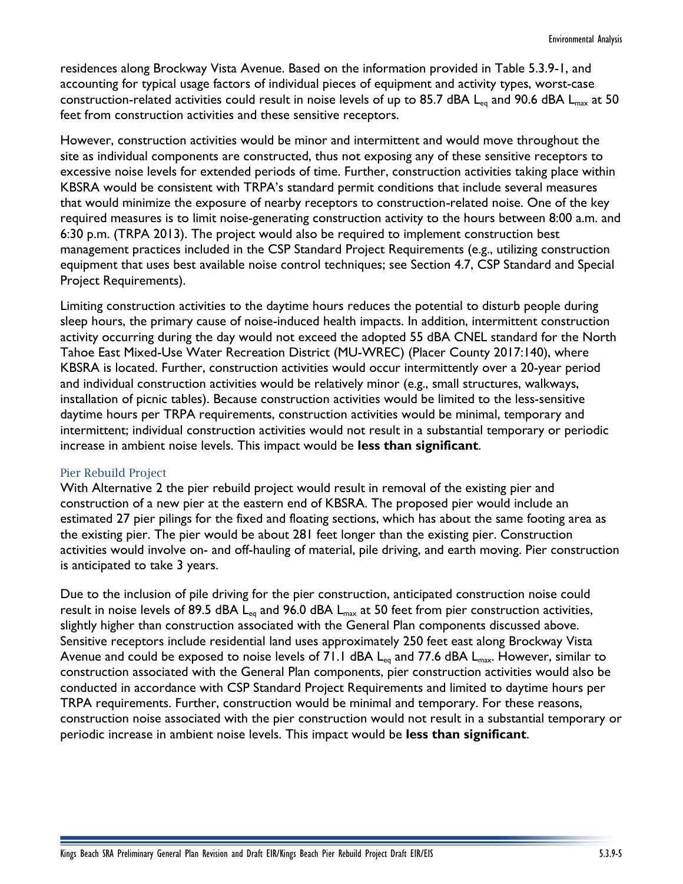residences along Brockway Vista Avenue. Based on the information provided in Table 5.3.9-1, and accounting for typical usage factors of individual pieces of equipment and activity types, worst-case construction-related activities could result in noise levels of up to 85.7 dBA L<sub>eq</sub> and 90.6 dBA L<sub>max</sub> at 50 feet from construction activities and these sensitive receptors.

However, construction activities would be minor and intermittent and would move throughout the site as individual components are constructed, thus not exposing any of these sensitive receptors to excessive noise levels for extended periods of time. Further, construction activities taking place within KBSRA would be consistent with TRPA's standard permit conditions that include several measures that would minimize the exposure of nearby receptors to construction-related noise. One of the key required measures is to limit noise-generating construction activity to the hours between 8:00 a.m. and 6:30 p.m. (TRPA 2013). The project would also be required to implement construction best management practices included in the CSP Standard Project Requirements (e.g., utilizing construction equipment that uses best available noise control techniques; see Section 4.7, CSP Standard and Special Project Requirements).

Limiting construction activities to the daytime hours reduces the potential to disturb people during sleep hours, the primary cause of noise-induced health impacts. In addition, intermittent construction activity occurring during the day would not exceed the adopted 55 dBA CNEL standard for the North Tahoe East Mixed-Use Water Recreation District (MU-WREC) (Placer County 2017:140), where KBSRA is located. Further, construction activities would occur intermittently over a 20-year period and individual construction activities would be relatively minor (e.g., small structures, walkways, installation of picnic tables). Because construction activities would be limited to the less-sensitive daytime hours per TRPA requirements, construction activities would be minimal, temporary and intermittent; individual construction activities would not result in a substantial temporary or periodic increase in ambient noise levels. This impact would be **less than significant**.

#### Pier Rebuild Project

With Alternative 2 the pier rebuild project would result in removal of the existing pier and construction of a new pier at the eastern end of KBSRA. The proposed pier would include an estimated 27 pier pilings for the fixed and floating sections, which has about the same footing area as the existing pier. The pier would be about 281 feet longer than the existing pier. Construction activities would involve on- and off-hauling of material, pile driving, and earth moving. Pier construction is anticipated to take 3 years.

Due to the inclusion of pile driving for the pier construction, anticipated construction noise could result in noise levels of 89.5 dBA  $L_{eq}$  and 96.0 dBA  $L_{max}$  at 50 feet from pier construction activities, slightly higher than construction associated with the General Plan components discussed above. Sensitive receptors include residential land uses approximately 250 feet east along Brockway Vista Avenue and could be exposed to noise levels of 71.1 dBA  $L_{eq}$  and 77.6 dBA  $L_{max}$ . However, similar to construction associated with the General Plan components, pier construction activities would also be conducted in accordance with CSP Standard Project Requirements and limited to daytime hours per TRPA requirements. Further, construction would be minimal and temporary. For these reasons, construction noise associated with the pier construction would not result in a substantial temporary or periodic increase in ambient noise levels. This impact would be **less than significant**.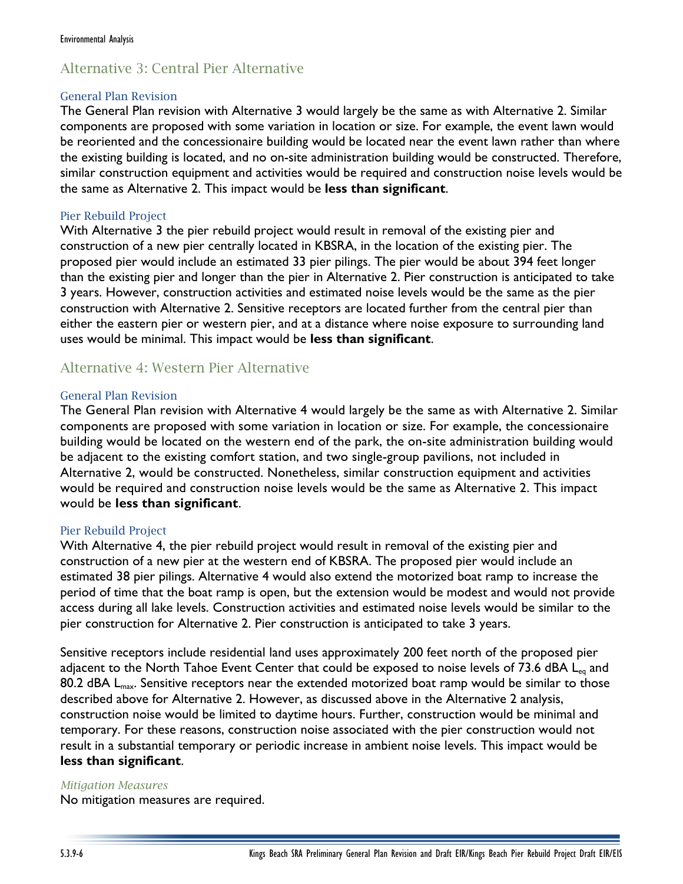## Alternative 3: Central Pier Alternative

#### General Plan Revision

The General Plan revision with Alternative 3 would largely be the same as with Alternative 2. Similar components are proposed with some variation in location or size. For example, the event lawn would be reoriented and the concessionaire building would be located near the event lawn rather than where the existing building is located, and no on-site administration building would be constructed. Therefore, similar construction equipment and activities would be required and construction noise levels would be the same as Alternative 2. This impact would be **less than significant**.

#### Pier Rebuild Project

With Alternative 3 the pier rebuild project would result in removal of the existing pier and construction of a new pier centrally located in KBSRA, in the location of the existing pier. The proposed pier would include an estimated 33 pier pilings. The pier would be about 394 feet longer than the existing pier and longer than the pier in Alternative 2. Pier construction is anticipated to take 3 years. However, construction activities and estimated noise levels would be the same as the pier construction with Alternative 2. Sensitive receptors are located further from the central pier than either the eastern pier or western pier, and at a distance where noise exposure to surrounding land uses would be minimal. This impact would be **less than significant**.

## Alternative 4: Western Pier Alternative

### General Plan Revision

The General Plan revision with Alternative 4 would largely be the same as with Alternative 2. Similar components are proposed with some variation in location or size. For example, the concessionaire building would be located on the western end of the park, the on-site administration building would be adjacent to the existing comfort station, and two single-group pavilions, not included in Alternative 2, would be constructed. Nonetheless, similar construction equipment and activities would be required and construction noise levels would be the same as Alternative 2. This impact would be **less than significant**.

## Pier Rebuild Project

With Alternative 4, the pier rebuild project would result in removal of the existing pier and construction of a new pier at the western end of KBSRA. The proposed pier would include an estimated 38 pier pilings. Alternative 4 would also extend the motorized boat ramp to increase the period of time that the boat ramp is open, but the extension would be modest and would not provide access during all lake levels. Construction activities and estimated noise levels would be similar to the pier construction for Alternative 2. Pier construction is anticipated to take 3 years.

Sensitive receptors include residential land uses approximately 200 feet north of the proposed pier adjacent to the North Tahoe Event Center that could be exposed to noise levels of 73.6 dBA  $L_{eq}$  and 80.2 dBA L<sub>max</sub>. Sensitive receptors near the extended motorized boat ramp would be similar to those described above for Alternative 2. However, as discussed above in the Alternative 2 analysis, construction noise would be limited to daytime hours. Further, construction would be minimal and temporary. For these reasons, construction noise associated with the pier construction would not result in a substantial temporary or periodic increase in ambient noise levels. This impact would be **less than significant**.

#### *Mitigation Measures*

No mitigation measures are required.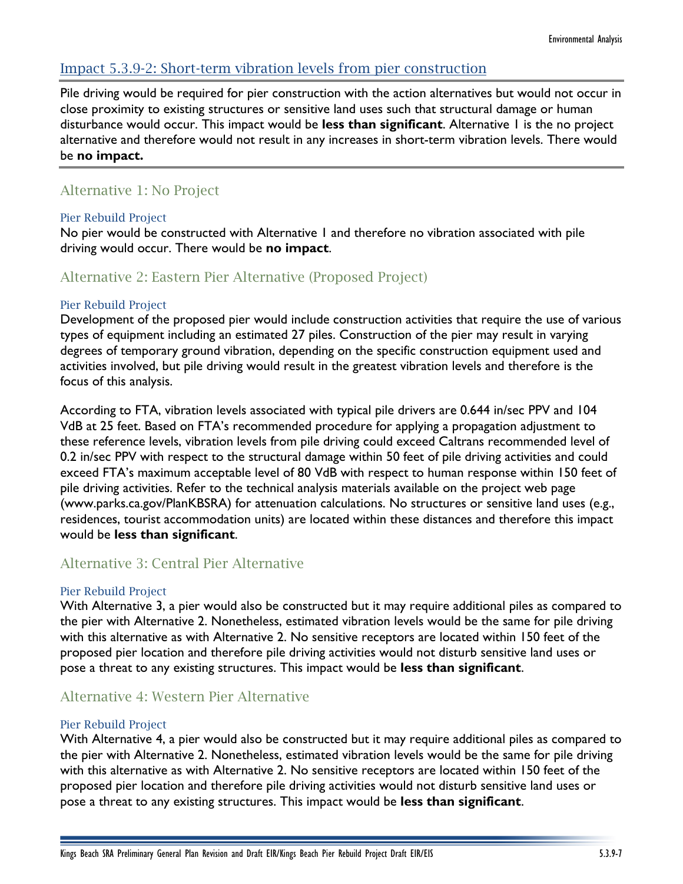## Impact 5.3.9-2: Short-term vibration levels from pier construction

Pile driving would be required for pier construction with the action alternatives but would not occur in close proximity to existing structures or sensitive land uses such that structural damage or human disturbance would occur. This impact would be **less than significant**. Alternative 1 is the no project alternative and therefore would not result in any increases in short-term vibration levels. There would be **no impact.**

## Alternative 1: No Project

### Pier Rebuild Project

No pier would be constructed with Alternative 1 and therefore no vibration associated with pile driving would occur. There would be **no impact**.

## Alternative 2: Eastern Pier Alternative (Proposed Project)

### Pier Rebuild Project

Development of the proposed pier would include construction activities that require the use of various types of equipment including an estimated 27 piles. Construction of the pier may result in varying degrees of temporary ground vibration, depending on the specific construction equipment used and activities involved, but pile driving would result in the greatest vibration levels and therefore is the focus of this analysis.

According to FTA, vibration levels associated with typical pile drivers are 0.644 in/sec PPV and 104 VdB at 25 feet. Based on FTA's recommended procedure for applying a propagation adjustment to these reference levels, vibration levels from pile driving could exceed Caltrans recommended level of 0.2 in/sec PPV with respect to the structural damage within 50 feet of pile driving activities and could exceed FTA's maximum acceptable level of 80 VdB with respect to human response within 150 feet of pile driving activities. Refer to the technical analysis materials available on the project web page [\(www.parks.ca.gov/PlanKBSRA\)](http://www.parks.ca.gov/PlanKBSRA) for attenuation calculations. No structures or sensitive land uses (e.g., residences, tourist accommodation units) are located within these distances and therefore this impact would be **less than significant**.

## Alternative 3: Central Pier Alternative

#### Pier Rebuild Project

With Alternative 3, a pier would also be constructed but it may require additional piles as compared to the pier with Alternative 2. Nonetheless, estimated vibration levels would be the same for pile driving with this alternative as with Alternative 2. No sensitive receptors are located within 150 feet of the proposed pier location and therefore pile driving activities would not disturb sensitive land uses or pose a threat to any existing structures. This impact would be **less than significant**.

## Alternative 4: Western Pier Alternative

#### Pier Rebuild Project

With Alternative 4, a pier would also be constructed but it may require additional piles as compared to the pier with Alternative 2. Nonetheless, estimated vibration levels would be the same for pile driving with this alternative as with Alternative 2. No sensitive receptors are located within 150 feet of the proposed pier location and therefore pile driving activities would not disturb sensitive land uses or pose a threat to any existing structures. This impact would be **less than significant**.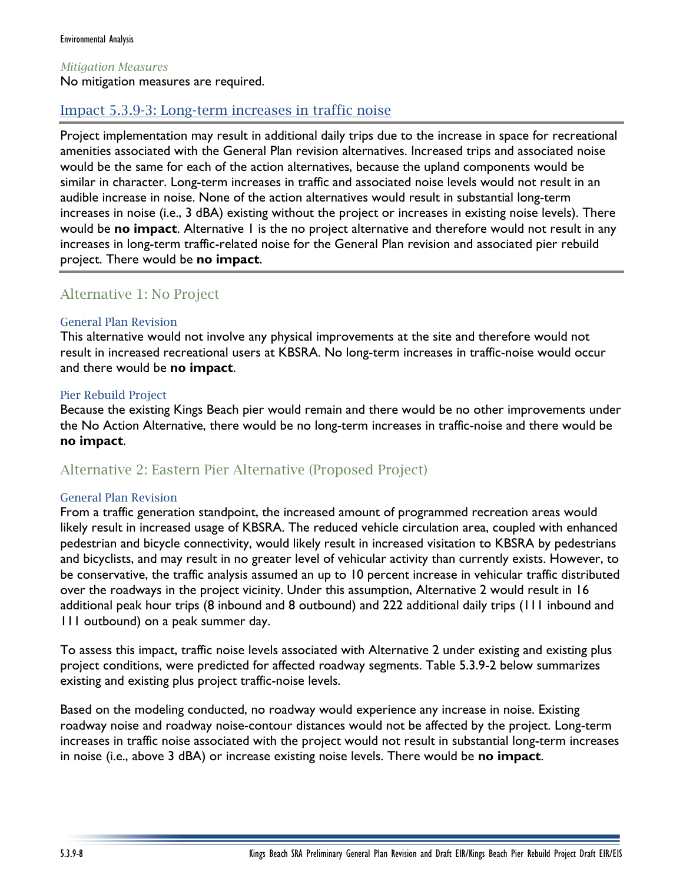#### *Mitigation Measures*

No mitigation measures are required.

## Impact 5.3.9-3: Long-term increases in traffic noise

Project implementation may result in additional daily trips due to the increase in space for recreational amenities associated with the General Plan revision alternatives. Increased trips and associated noise would be the same for each of the action alternatives, because the upland components would be similar in character. Long-term increases in traffic and associated noise levels would not result in an audible increase in noise. None of the action alternatives would result in substantial long-term increases in noise (i.e., 3 dBA) existing without the project or increases in existing noise levels). There would be **no impact**. Alternative 1 is the no project alternative and therefore would not result in any increases in long-term traffic-related noise for the General Plan revision and associated pier rebuild project. There would be **no impact**.

## Alternative 1: No Project

#### General Plan Revision

This alternative would not involve any physical improvements at the site and therefore would not result in increased recreational users at KBSRA. No long-term increases in traffic-noise would occur and there would be **no impact**.

#### Pier Rebuild Project

Because the existing Kings Beach pier would remain and there would be no other improvements under the No Action Alternative, there would be no long-term increases in traffic-noise and there would be **no impact**.

## Alternative 2: Eastern Pier Alternative (Proposed Project)

#### General Plan Revision

From a traffic generation standpoint, the increased amount of programmed recreation areas would likely result in increased usage of KBSRA. The reduced vehicle circulation area, coupled with enhanced pedestrian and bicycle connectivity, would likely result in increased visitation to KBSRA by pedestrians and bicyclists, and may result in no greater level of vehicular activity than currently exists. However, to be conservative, the traffic analysis assumed an up to 10 percent increase in vehicular traffic distributed over the roadways in the project vicinity. Under this assumption, Alternative 2 would result in 16 additional peak hour trips (8 inbound and 8 outbound) and 222 additional daily trips (111 inbound and 111 outbound) on a peak summer day.

To assess this impact, traffic noise levels associated with Alternative 2 under existing and existing plus project conditions, were predicted for affected roadway segments. Table 5.3.9-2 below summarizes existing and existing plus project traffic-noise levels.

Based on the modeling conducted, no roadway would experience any increase in noise. Existing roadway noise and roadway noise-contour distances would not be affected by the project. Long-term increases in traffic noise associated with the project would not result in substantial long-term increases in noise (i.e., above 3 dBA) or increase existing noise levels. There would be **no impact**.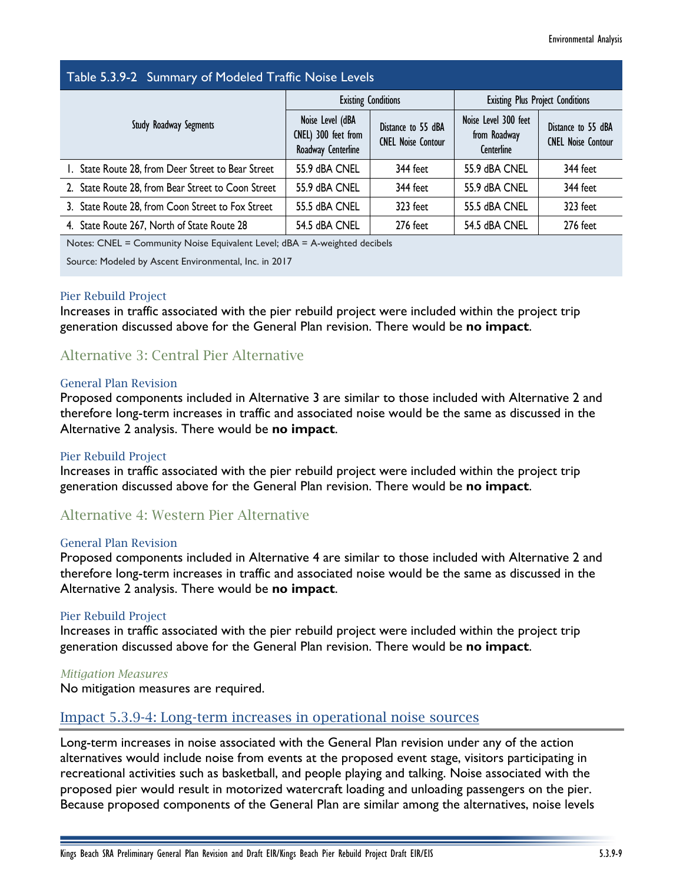## Table 5.3.9-2 Summary of Modeled Traffic Noise Levels

| $\sim$ which is the contract of the second contract $\sim$ . We have the contract of the contract of the contract of the contract of the contract of the contract of the contract of the contract of the contract of the contract |                                                               |                                                 |                                                    |                                                 |  |
|-----------------------------------------------------------------------------------------------------------------------------------------------------------------------------------------------------------------------------------|---------------------------------------------------------------|-------------------------------------------------|----------------------------------------------------|-------------------------------------------------|--|
| Study Roadway Segments                                                                                                                                                                                                            | <b>Existing Conditions</b>                                    |                                                 | <b>Existing Plus Project Conditions</b>            |                                                 |  |
|                                                                                                                                                                                                                                   | Noise Level (dBA<br>CNEL) 300 feet from<br>Roadway Centerline | Distance to 55 dBA<br><b>CNEL Noise Contour</b> | Noise Level 300 feet<br>from Roadway<br>Centerline | Distance to 55 dBA<br><b>CNEL Noise Contour</b> |  |
| I. State Route 28, from Deer Street to Bear Street                                                                                                                                                                                | 55.9 dBA CNEL                                                 | 344 feet                                        | 55.9 dBA CNEL                                      | 344 feet                                        |  |
| 2. State Route 28, from Bear Street to Coon Street                                                                                                                                                                                | 55.9 dBA CNEL                                                 | 344 feet                                        | 55.9 dBA CNEL                                      | 344 feet                                        |  |
| 3. State Route 28, from Coon Street to Fox Street                                                                                                                                                                                 | 55.5 dBA CNEL                                                 | 323 feet                                        | 55.5 dBA CNEL                                      | 323 feet                                        |  |
| 4. State Route 267, North of State Route 28                                                                                                                                                                                       | 54.5 dBA CNEL                                                 | 276 feet                                        | 54.5 dBA CNEL                                      | 276 feet                                        |  |

Notes: CNEL = Community Noise Equivalent Level; dBA = A-weighted decibels

Source: Modeled by Ascent Environmental, Inc. in 2017

#### Pier Rebuild Project

Increases in traffic associated with the pier rebuild project were included within the project trip generation discussed above for the General Plan revision. There would be **no impact**.

## Alternative 3: Central Pier Alternative

#### General Plan Revision

Proposed components included in Alternative 3 are similar to those included with Alternative 2 and therefore long-term increases in traffic and associated noise would be the same as discussed in the Alternative 2 analysis. There would be **no impact**.

#### Pier Rebuild Project

Increases in traffic associated with the pier rebuild project were included within the project trip generation discussed above for the General Plan revision. There would be **no impact**.

## Alternative 4: Western Pier Alternative

#### General Plan Revision

Proposed components included in Alternative 4 are similar to those included with Alternative 2 and therefore long-term increases in traffic and associated noise would be the same as discussed in the Alternative 2 analysis. There would be **no impact**.

#### Pier Rebuild Project

Increases in traffic associated with the pier rebuild project were included within the project trip generation discussed above for the General Plan revision. There would be **no impact**.

#### *Mitigation Measures*

No mitigation measures are required.

## Impact 5.3.9-4: Long-term increases in operational noise sources

Long-term increases in noise associated with the General Plan revision under any of the action alternatives would include noise from events at the proposed event stage, visitors participating in recreational activities such as basketball, and people playing and talking. Noise associated with the proposed pier would result in motorized watercraft loading and unloading passengers on the pier. Because proposed components of the General Plan are similar among the alternatives, noise levels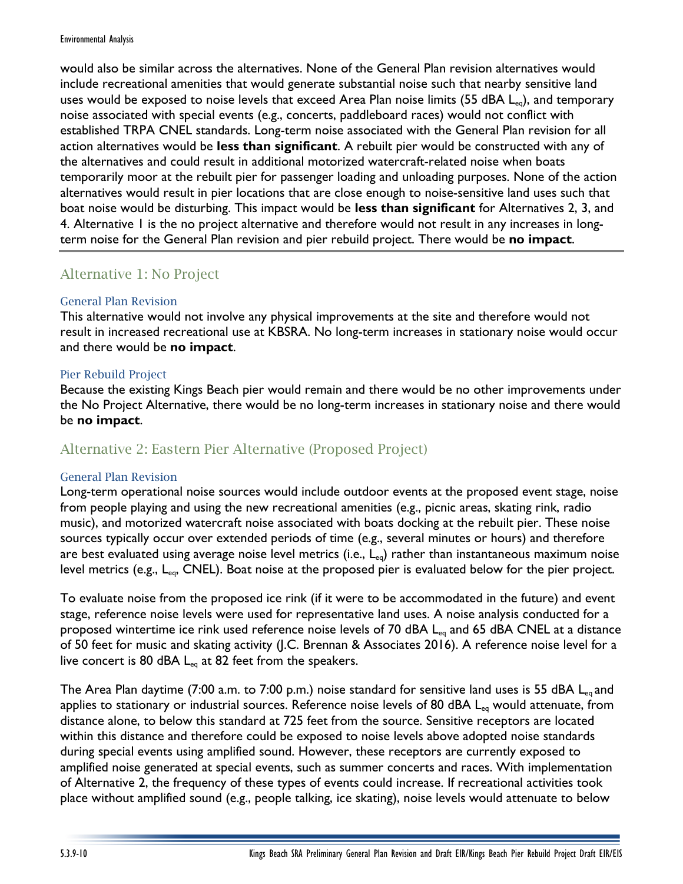would also be similar across the alternatives. None of the General Plan revision alternatives would include recreational amenities that would generate substantial noise such that nearby sensitive land uses would be exposed to noise levels that exceed Area Plan noise limits (55 dBA  $L_{eq}$ ), and temporary noise associated with special events (e.g., concerts, paddleboard races) would not conflict with established TRPA CNEL standards. Long-term noise associated with the General Plan revision for all action alternatives would be **less than significant**. A rebuilt pier would be constructed with any of the alternatives and could result in additional motorized watercraft-related noise when boats temporarily moor at the rebuilt pier for passenger loading and unloading purposes. None of the action alternatives would result in pier locations that are close enough to noise-sensitive land uses such that boat noise would be disturbing. This impact would be **less than significant** for Alternatives 2, 3, and 4. Alternative 1 is the no project alternative and therefore would not result in any increases in longterm noise for the General Plan revision and pier rebuild project. There would be **no impact**.

## Alternative 1: No Project

## General Plan Revision

This alternative would not involve any physical improvements at the site and therefore would not result in increased recreational use at KBSRA. No long-term increases in stationary noise would occur and there would be **no impact**.

## Pier Rebuild Project

Because the existing Kings Beach pier would remain and there would be no other improvements under the No Project Alternative, there would be no long-term increases in stationary noise and there would be **no impact**.

## Alternative 2: Eastern Pier Alternative (Proposed Project)

## General Plan Revision

Long-term operational noise sources would include outdoor events at the proposed event stage, noise from people playing and using the new recreational amenities (e.g., picnic areas, skating rink, radio music), and motorized watercraft noise associated with boats docking at the rebuilt pier. These noise sources typically occur over extended periods of time (e.g., several minutes or hours) and therefore are best evaluated using average noise level metrics (i.e.,  $L_{eq}$ ) rather than instantaneous maximum noise level metrics (e.g.,  $L_{eq}$ , CNEL). Boat noise at the proposed pier is evaluated below for the pier project.

To evaluate noise from the proposed ice rink (if it were to be accommodated in the future) and event stage, reference noise levels were used for representative land uses. A noise analysis conducted for a proposed wintertime ice rink used reference noise levels of 70 dBA L<sub>eq</sub> and 65 dBA CNEL at a distance of 50 feet for music and skating activity (J.C. Brennan & Associates 2016). A reference noise level for a live concert is 80 dBA  $L_{eq}$  at 82 feet from the speakers.

The Area Plan daytime (7:00 a.m. to 7:00 p.m.) noise standard for sensitive land uses is 55 dBA  $L_{eq}$  and applies to stationary or industrial sources. Reference noise levels of 80 dBA L<sub>eq</sub> would attenuate, from distance alone, to below this standard at 725 feet from the source. Sensitive receptors are located within this distance and therefore could be exposed to noise levels above adopted noise standards during special events using amplified sound. However, these receptors are currently exposed to amplified noise generated at special events, such as summer concerts and races. With implementation of Alternative 2, the frequency of these types of events could increase. If recreational activities took place without amplified sound (e.g., people talking, ice skating), noise levels would attenuate to below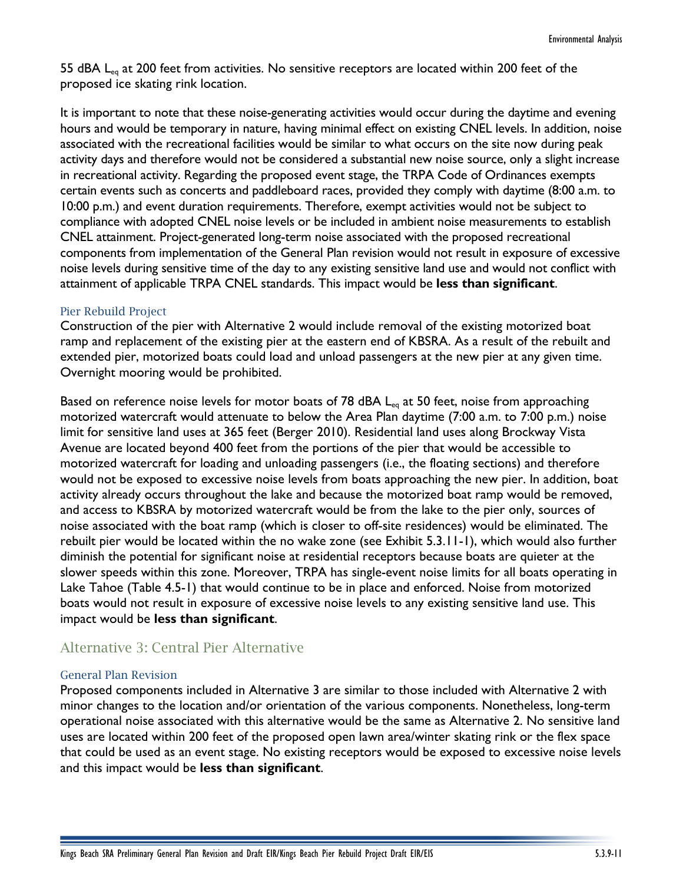55 dBA L<sub>eq</sub> at 200 feet from activities. No sensitive receptors are located within 200 feet of the proposed ice skating rink location.

It is important to note that these noise-generating activities would occur during the daytime and evening hours and would be temporary in nature, having minimal effect on existing CNEL levels. In addition, noise associated with the recreational facilities would be similar to what occurs on the site now during peak activity days and therefore would not be considered a substantial new noise source, only a slight increase in recreational activity. Regarding the proposed event stage, the TRPA Code of Ordinances exempts certain events such as concerts and paddleboard races, provided they comply with daytime (8:00 a.m. to 10:00 p.m.) and event duration requirements. Therefore, exempt activities would not be subject to compliance with adopted CNEL noise levels or be included in ambient noise measurements to establish CNEL attainment. Project-generated long-term noise associated with the proposed recreational components from implementation of the General Plan revision would not result in exposure of excessive noise levels during sensitive time of the day to any existing sensitive land use and would not conflict with attainment of applicable TRPA CNEL standards. This impact would be **less than significant**.

#### Pier Rebuild Project

Construction of the pier with Alternative 2 would include removal of the existing motorized boat ramp and replacement of the existing pier at the eastern end of KBSRA. As a result of the rebuilt and extended pier, motorized boats could load and unload passengers at the new pier at any given time. Overnight mooring would be prohibited.

Based on reference noise levels for motor boats of 78 dBA  $L_{eq}$  at 50 feet, noise from approaching motorized watercraft would attenuate to below the Area Plan daytime (7:00 a.m. to 7:00 p.m.) noise limit for sensitive land uses at 365 feet (Berger 2010). Residential land uses along Brockway Vista Avenue are located beyond 400 feet from the portions of the pier that would be accessible to motorized watercraft for loading and unloading passengers (i.e., the floating sections) and therefore would not be exposed to excessive noise levels from boats approaching the new pier. In addition, boat activity already occurs throughout the lake and because the motorized boat ramp would be removed, and access to KBSRA by motorized watercraft would be from the lake to the pier only, sources of noise associated with the boat ramp (which is closer to off-site residences) would be eliminated. The rebuilt pier would be located within the no wake zone (see Exhibit 5.3.11-1), which would also further diminish the potential for significant noise at residential receptors because boats are quieter at the slower speeds within this zone. Moreover, TRPA has single-event noise limits for all boats operating in Lake Tahoe (Table 4.5-1) that would continue to be in place and enforced. Noise from motorized boats would not result in exposure of excessive noise levels to any existing sensitive land use. This impact would be **less than significant**.

## Alternative 3: Central Pier Alternative

#### General Plan Revision

Proposed components included in Alternative 3 are similar to those included with Alternative 2 with minor changes to the location and/or orientation of the various components. Nonetheless, long-term operational noise associated with this alternative would be the same as Alternative 2. No sensitive land uses are located within 200 feet of the proposed open lawn area/winter skating rink or the flex space that could be used as an event stage. No existing receptors would be exposed to excessive noise levels and this impact would be **less than significant**.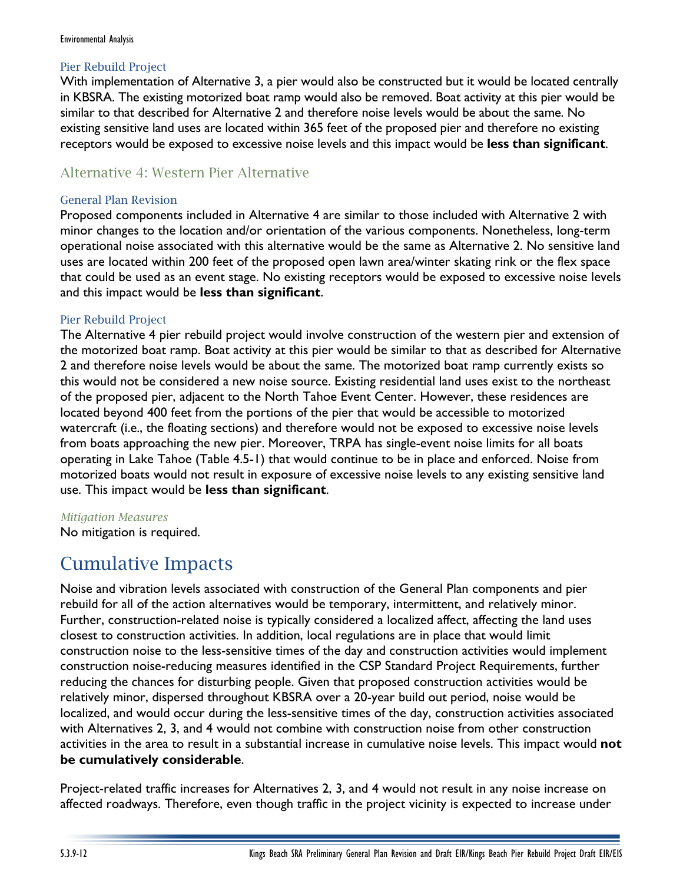### Pier Rebuild Project

With implementation of Alternative 3, a pier would also be constructed but it would be located centrally in KBSRA. The existing motorized boat ramp would also be removed. Boat activity at this pier would be similar to that described for Alternative 2 and therefore noise levels would be about the same. No existing sensitive land uses are located within 365 feet of the proposed pier and therefore no existing receptors would be exposed to excessive noise levels and this impact would be **less than significant**.

## Alternative 4: Western Pier Alternative

### General Plan Revision

Proposed components included in Alternative 4 are similar to those included with Alternative 2 with minor changes to the location and/or orientation of the various components. Nonetheless, long-term operational noise associated with this alternative would be the same as Alternative 2. No sensitive land uses are located within 200 feet of the proposed open lawn area/winter skating rink or the flex space that could be used as an event stage. No existing receptors would be exposed to excessive noise levels and this impact would be **less than significant**.

### Pier Rebuild Project

The Alternative 4 pier rebuild project would involve construction of the western pier and extension of the motorized boat ramp. Boat activity at this pier would be similar to that as described for Alternative 2 and therefore noise levels would be about the same. The motorized boat ramp currently exists so this would not be considered a new noise source. Existing residential land uses exist to the northeast of the proposed pier, adjacent to the North Tahoe Event Center. However, these residences are located beyond 400 feet from the portions of the pier that would be accessible to motorized watercraft (i.e., the floating sections) and therefore would not be exposed to excessive noise levels from boats approaching the new pier. Moreover, TRPA has single-event noise limits for all boats operating in Lake Tahoe (Table 4.5-1) that would continue to be in place and enforced. Noise from motorized boats would not result in exposure of excessive noise levels to any existing sensitive land use. This impact would be **less than significant**.

#### *Mitigation Measures*

No mitigation is required.

## Cumulative Impacts

Noise and vibration levels associated with construction of the General Plan components and pier rebuild for all of the action alternatives would be temporary, intermittent, and relatively minor. Further, construction-related noise is typically considered a localized affect, affecting the land uses closest to construction activities. In addition, local regulations are in place that would limit construction noise to the less-sensitive times of the day and construction activities would implement construction noise-reducing measures identified in the CSP Standard Project Requirements, further reducing the chances for disturbing people. Given that proposed construction activities would be relatively minor, dispersed throughout KBSRA over a 20-year build out period, noise would be localized, and would occur during the less-sensitive times of the day, construction activities associated with Alternatives 2, 3, and 4 would not combine with construction noise from other construction activities in the area to result in a substantial increase in cumulative noise levels. This impact would **not be cumulatively considerable**.

Project-related traffic increases for Alternatives 2, 3, and 4 would not result in any noise increase on affected roadways. Therefore, even though traffic in the project vicinity is expected to increase under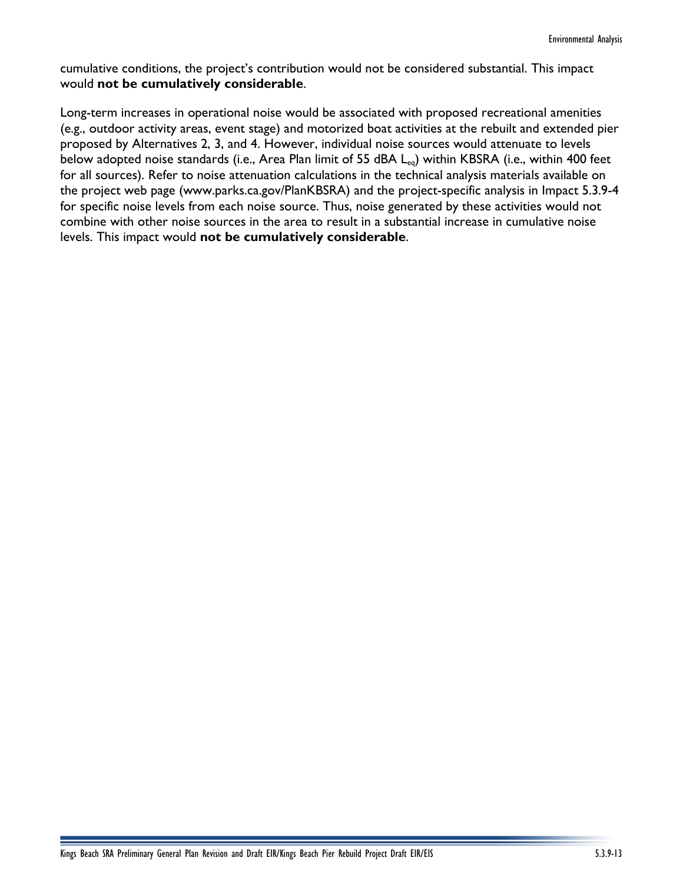cumulative conditions, the project's contribution would not be considered substantial. This impact would **not be cumulatively considerable**.

Long-term increases in operational noise would be associated with proposed recreational amenities (e.g., outdoor activity areas, event stage) and motorized boat activities at the rebuilt and extended pier proposed by Alternatives 2, 3, and 4. However, individual noise sources would attenuate to levels below adopted noise standards (i.e., Area Plan limit of 55 dBA L<sub>eq</sub>) within KBSRA (i.e., within 400 feet for all sources). Refer to noise attenuation calculations in the technical analysis materials available on the project web page [\(www.parks.ca.gov/PlanKBSRA\)](http://www.parks.ca.gov/PlanKBSRA) and the project-specific analysis in Impact 5.3.9-4 for specific noise levels from each noise source. Thus, noise generated by these activities would not combine with other noise sources in the area to result in a substantial increase in cumulative noise levels. This impact would **not be cumulatively considerable**.